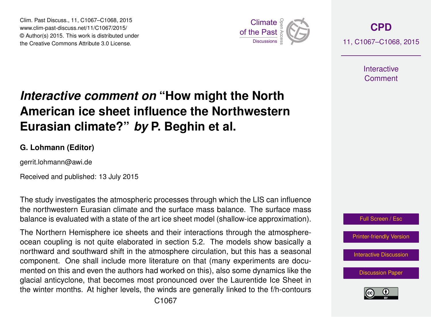Clim. Past Discuss., 11, C1067–C1068, 2015 www.clim-past-discuss.net/11/C1067/2015/ © Author(s) 2015. This work is distributed under Clim. Past Discuss., 11, C1067–C1068, 2015<br>
www.clim-past-discuss.net/11/C1067/2015/<br>
© Author(s) 2015. This work is distributed under<br>
the Creative Commons Attribute 3.0 License.



**[CPD](http://www.clim-past-discuss.net)** 11, C1067–C1068, 2015

> **Interactive** Comment

## *Interactive comment on* **"How might the North American ice sheet influence the Northwestern Eurasian climate?"** *by* **P. Beghin et al.**

## **G. Lohmann (Editor)**

gerrit.lohmann@awi.de

Received and published: 13 July 2015

The study investigates the atmospheric processes through which the LIS can influence the northwestern Eurasian climate and the surface mass balance. The surface mass balance is evaluated with a state of the art ice sheet model (shallow-ice approximation).

The Northern Hemisphere ice sheets and their interactions through the atmosphereocean coupling is not quite elaborated in section 5.2. The models show basically a northward and southward shift in the atmosphere circulation, but this has a seasonal component. One shall include more literature on that (many experiments are documented on this and even the authors had worked on this), also some dynamics like the glacial anticyclone, that becomes most pronounced over the Laurentide Ice Sheet in the winter months. At higher levels, the winds are generally linked to the f/h-contours